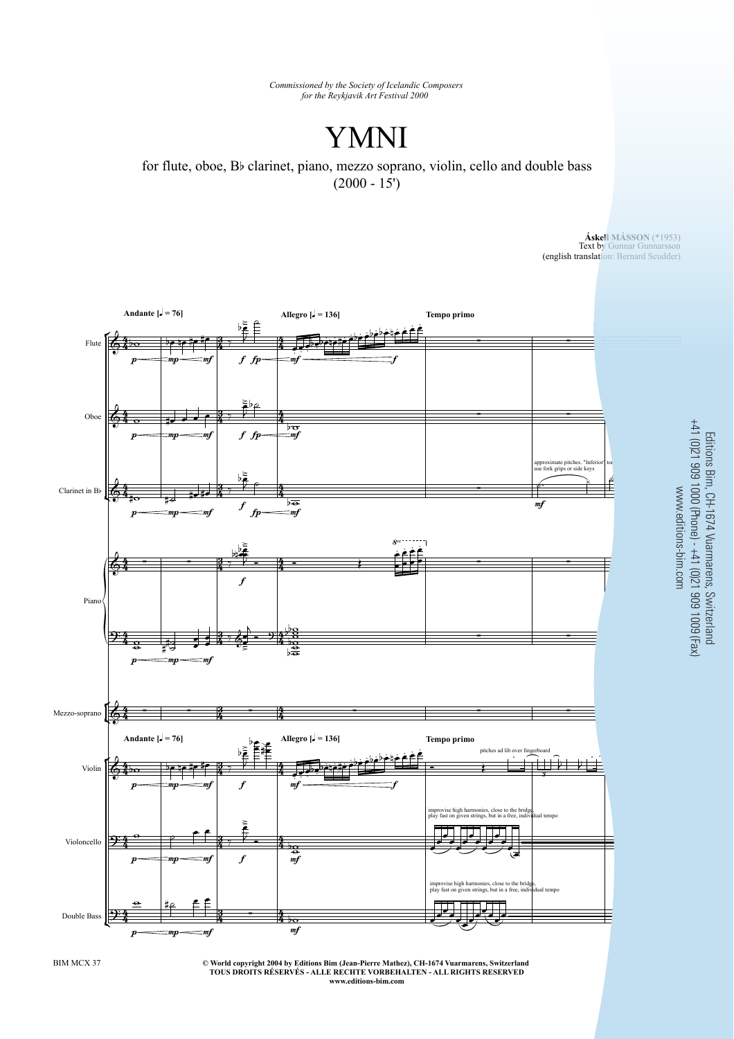*Commissioned by the Society of Icelandic Composers for the Reykjavik Art Festival 2000* 

## YMNI

for flute, oboe, Bb clarinet, piano, mezzo soprano, violin, cello and double bass  $(2000 - 15')$ 

> **Áskell MÁSSON** (\*1953) Text by Gunnar Gunnarsson (english translation: Bernard Scudder)



**© World copyright 2004 by Editions Bim (Jean-Pierre Mathez), CH-1674 Vuarmarens, Switzerland TOUS DROITS RÉSERVÉS - ALLE RECHTE VORBEHALTEN - ALL RIGHTS RESERVED www.editions-bim.com**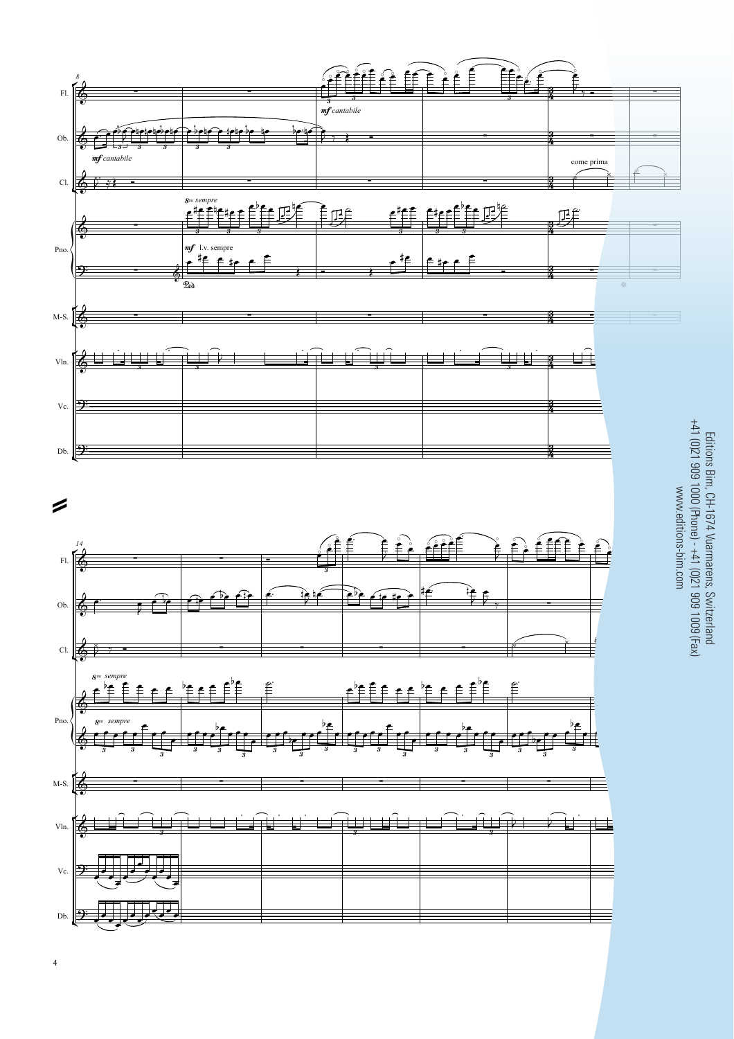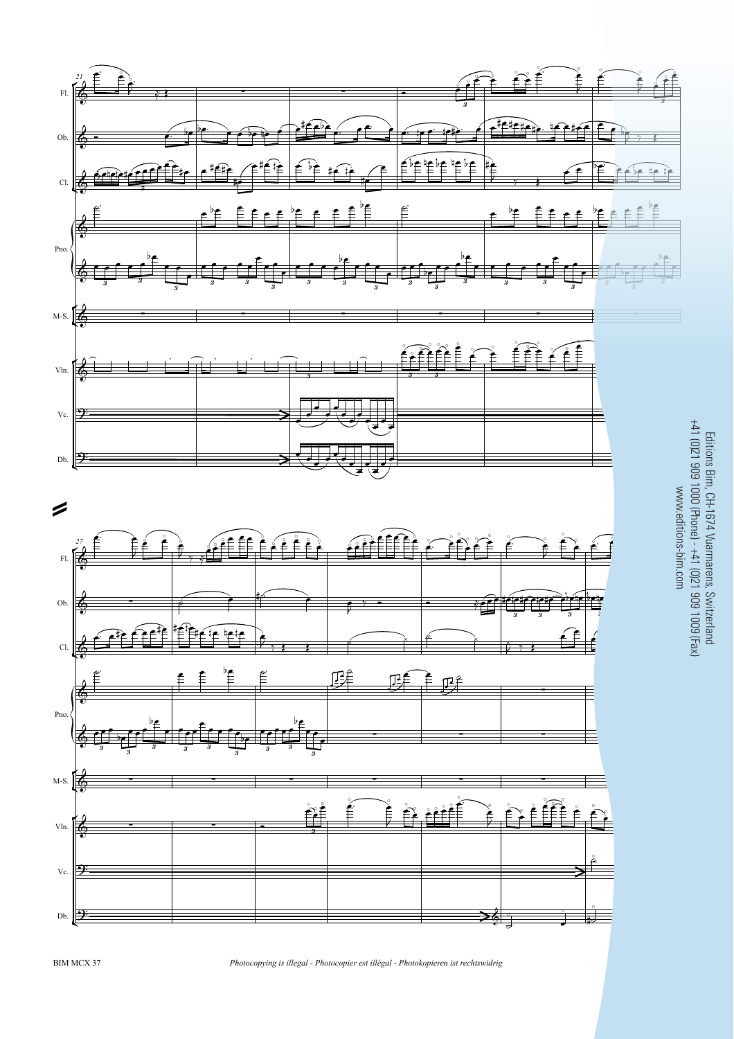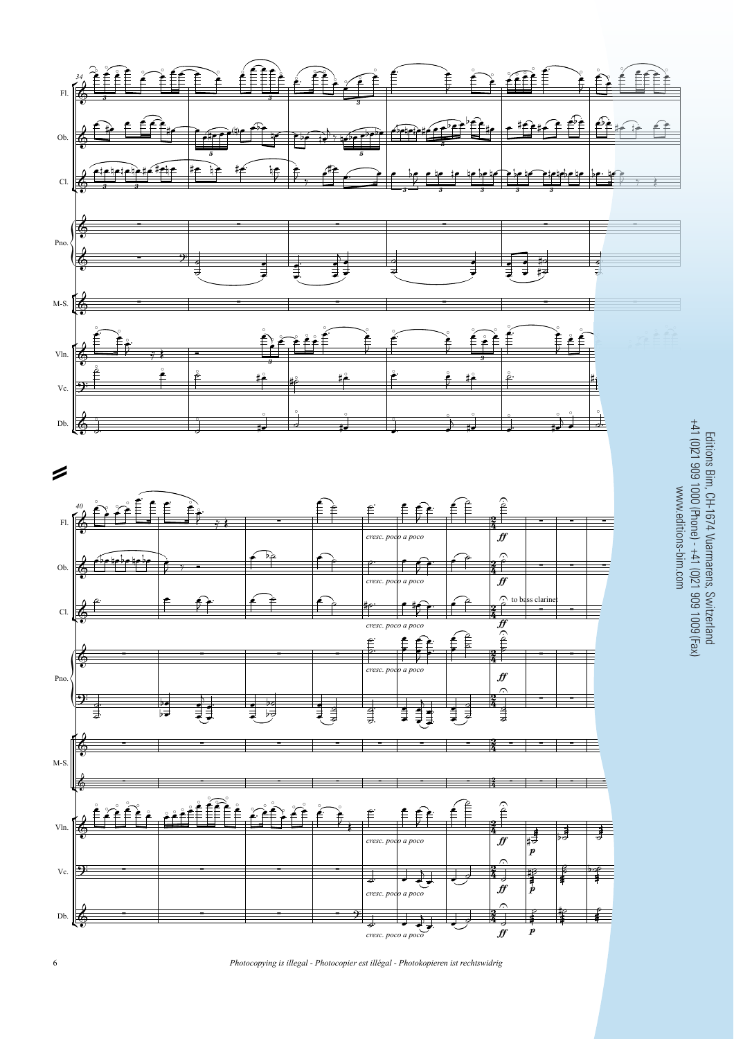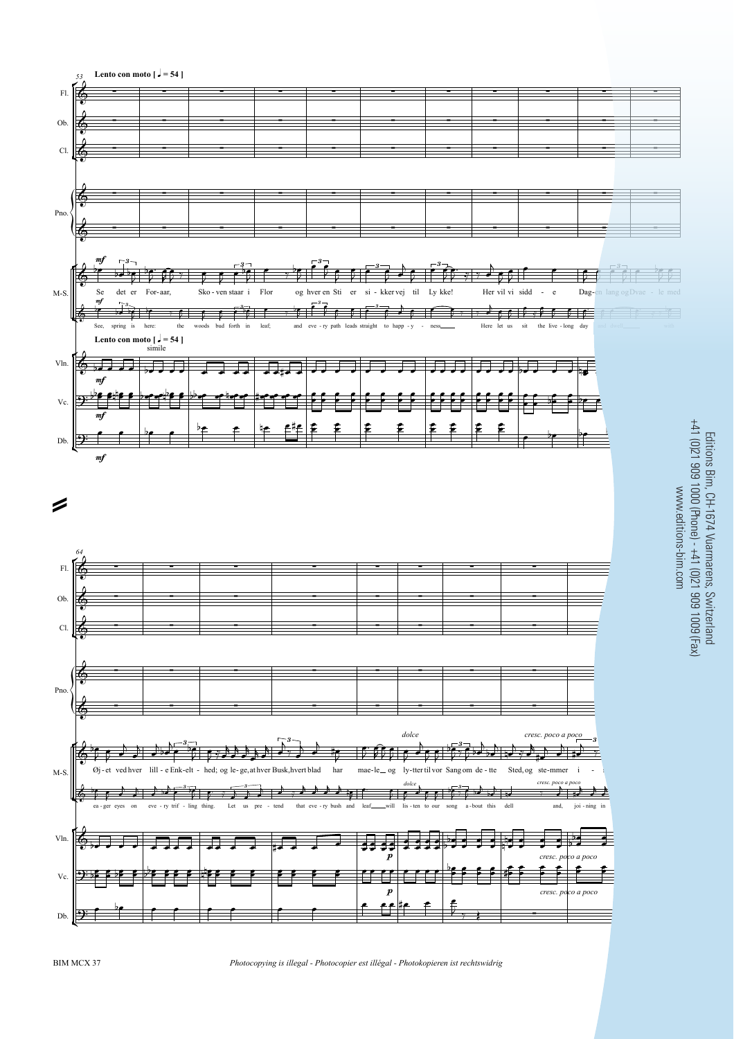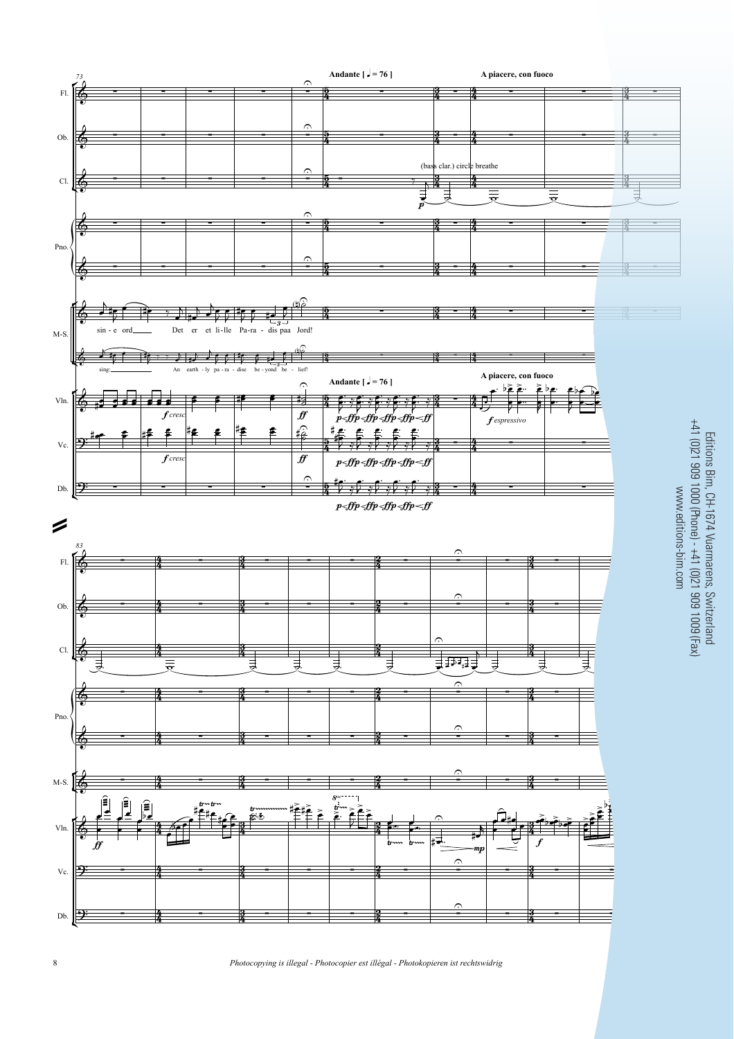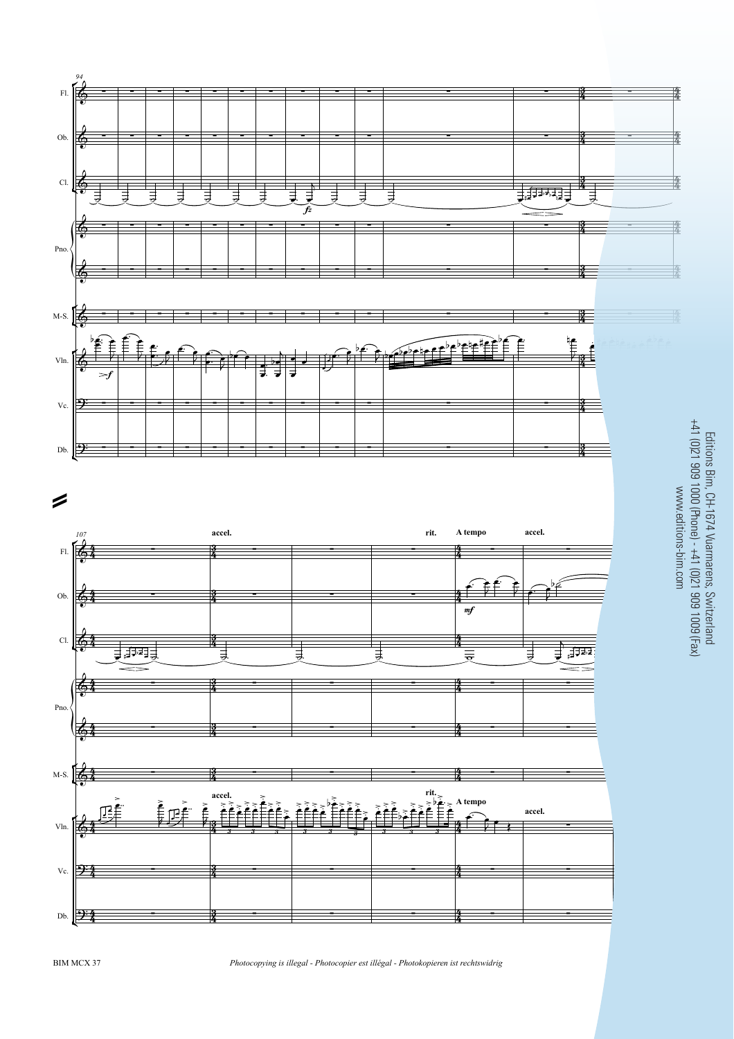